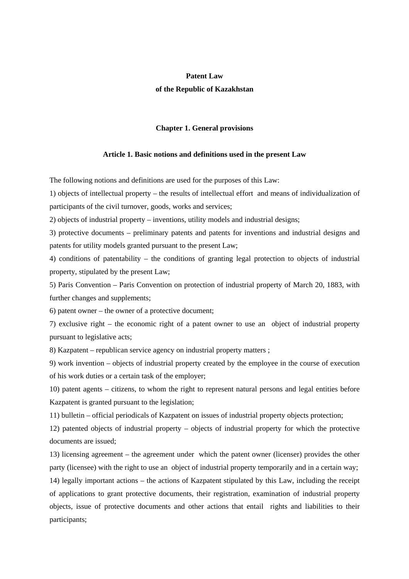## **Patent Law**

## **of the Republic of Kazakhstan**

#### **Chapter 1. General provisions**

#### **Article 1. Basic notions and definitions used in the present Law**

The following notions and definitions are used for the purposes of this Law:

1) objects of intellectual property – the results of intellectual effort and means of individualization of participants of the civil turnover, goods, works and services;

2) objects of industrial property – inventions, utility models and industrial designs;

3) protective documents – preliminary patents and patents for inventions and industrial designs and patents for utility models granted pursuant to the present Law;

4) conditions of patentability – the conditions of granting legal protection to objects of industrial property, stipulated by the present Law;

5) Paris Convention – Paris Convention on protection of industrial property of March 20, 1883, with further changes and supplements;

6) patent owner – the owner of a protective document;

7) exclusive right – the economic right of a patent owner to use an object of industrial property pursuant to legislative acts;

8) Kazpatent – republican service agency on industrial property matters ;

9) work invention – objects of industrial property created by the employee in the course of execution of his work duties or a certain task of the employer;

10) patent agents – citizens, to whom the right to represent natural persons and legal entities before Kazpatent is granted pursuant to the legislation;

11) bulletin – official periodicals of Kazpatent on issues of industrial property objects protection;

12) patented objects of industrial property – objects of industrial property for which the protective documents are issued;

13) licensing agreement – the agreement under which the patent owner (licenser) provides the other party (licensee) with the right to use an object of industrial property temporarily and in a certain way;

14) legally important actions – the actions of Kazpatent stipulated by this Law, including the receipt of applications to grant protective documents, their registration, examination of industrial property objects, issue of protective documents and other actions that entail rights and liabilities to their participants;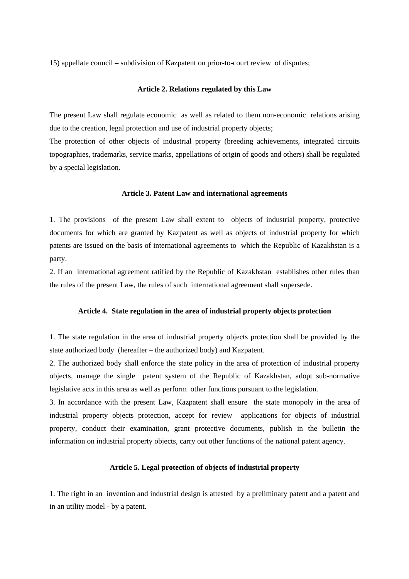15) appellate council – subdivision of Kazpatent on prior-to-court review of disputes;

# **Article 2. Relations regulated by this Law**

The present Law shall regulate economic as well as related to them non-economic relations arising due to the creation, legal protection and use of industrial property objects;

The protection of other objects of industrial property (breeding achievements, integrated circuits topographies, trademarks, service marks, appellations of origin of goods and others) shall be regulated by a special legislation.

## **Article 3. Patent Law and international agreements**

1. The provisions of the present Law shall extent to objects of industrial property, protective documents for which are granted by Kazpatent as well as objects of industrial property for which patents are issued on the basis of international agreements to which the Republic of Kazakhstan is a party.

2. If an international agreement ratified by the Republic of Kazakhstan establishes other rules than the rules of the present Law, the rules of such international agreement shall supersede.

#### **Article 4. State regulation in the area of industrial property objects protection**

1. The state regulation in the area of industrial property objects protection shall be provided by the state authorized body (hereafter – the authorized body) and Kazpatent.

2. The authorized body shall enforce the state policy in the area of protection of industrial property objects, manage the single patent system of the Republic of Kazakhstan, adopt sub-normative legislative acts in this area as well as perform other functions pursuant to the legislation.

3. In accordance with the present Law, Kazpatent shall ensure the state monopoly in the area of industrial property objects protection, accept for review applications for objects of industrial property, conduct their examination, grant protective documents, publish in the bulletin the information on industrial property objects, carry out other functions of the national patent agency.

# **Article 5. Legal protection of objects of industrial property**

1. The right in an invention and industrial design is attested by a preliminary patent and a patent and in an utility model - by a patent.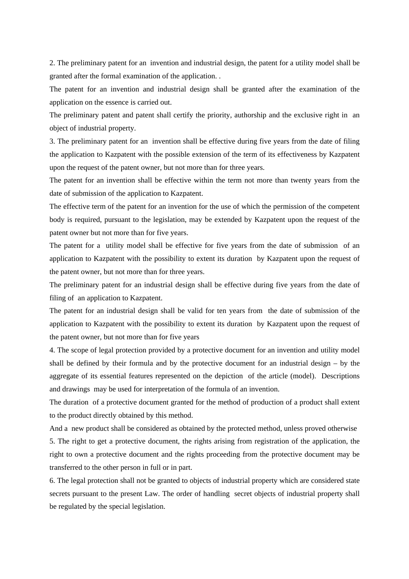2. The preliminary patent for an invention and industrial design, the patent for a utility model shall be granted after the formal examination of the application. .

The patent for an invention and industrial design shall be granted after the examination of the application on the essence is carried out.

The preliminary patent and patent shall certify the priority, authorship and the exclusive right in an object of industrial property.

3. The preliminary patent for an invention shall be effective during five years from the date of filing the application to Kazpatent with the possible extension of the term of its effectiveness by Kazpatent upon the request of the patent owner, but not more than for three years.

The patent for an invention shall be effective within the term not more than twenty years from the date of submission of the application to Kazpatent.

The effective term of the patent for an invention for the use of which the permission of the competent body is required, pursuant to the legislation, may be extended by Kazpatent upon the request of the patent owner but not more than for five years.

The patent for a utility model shall be effective for five years from the date of submission of an application to Kazpatent with the possibility to extent its duration by Kazpatent upon the request of the patent owner, but not more than for three years.

The preliminary patent for an industrial design shall be effective during five years from the date of filing of an application to Kazpatent.

The patent for an industrial design shall be valid for ten years from the date of submission of the application to Kazpatent with the possibility to extent its duration by Kazpatent upon the request of the patent owner, but not more than for five years

4. The scope of legal protection provided by a protective document for an invention and utility model shall be defined by their formula and by the protective document for an industrial design – by the aggregate of its essential features represented on the depiction of the article (model). Descriptions and drawings may be used for interpretation of the formula of an invention.

The duration of a protective document granted for the method of production of a product shall extent to the product directly obtained by this method.

And a new product shall be considered as obtained by the protected method, unless proved otherwise 5. The right to get a protective document, the rights arising from registration of the application, the right to own a protective document and the rights proceeding from the protective document may be transferred to the other person in full or in part.

6. The legal protection shall not be granted to objects of industrial property which are considered state secrets pursuant to the present Law. The order of handling secret objects of industrial property shall be regulated by the special legislation.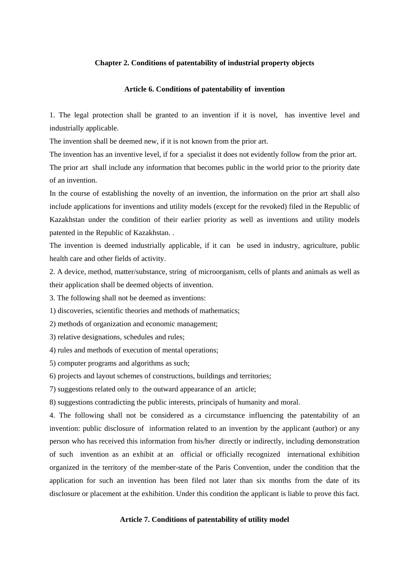#### **Chapter 2. Conditions of patentability of industrial property objects**

## **Article 6. Conditions of patentability of invention**

1. The legal protection shall be granted to an invention if it is novel, has inventive level and industrially applicable.

The invention shall be deemed new, if it is not known from the prior art.

The invention has an inventive level, if for a specialist it does not evidently follow from the prior art. The prior art shall include any information that becomes public in the world prior to the priority date

of an invention.

In the course of establishing the novelty of an invention, the information on the prior art shall also include applications for inventions and utility models (except for the revoked) filed in the Republic of Kazakhstan under the condition of their earlier priority as well as inventions and utility models patented in the Republic of Kazakhstan. .

The invention is deemed industrially applicable, if it can be used in industry, agriculture, public health care and other fields of activity.

2. A device, method, matter/substance, string of microorganism, cells of plants and animals as well as their application shall be deemed objects of invention.

3. The following shall not be deemed as inventions:

1) discoveries, scientific theories and methods of mathematics;

2) methods of organization and economic management;

3) relative designations, schedules and rules;

4) rules and methods of execution of mental operations;

5) computer programs and algorithms as such;

6) projects and layout schemes of constructions, buildings and territories;

7) suggestions related only to the outward appearance of an article;

8) suggestions contradicting the public interests, principals of humanity and moral.

4. The following shall not be considered as a circumstance influencing the patentability of an invention: public disclosure of information related to an invention by the applicant (author) or any person who has received this information from his/her directly or indirectly, including demonstration of such invention as an exhibit at an official or officially recognized international exhibition organized in the territory of the member-state of the Paris Convention, under the condition that the application for such an invention has been filed not later than six months from the date of its disclosure or placement at the exhibition. Under this condition the applicant is liable to prove this fact.

## **Article 7. Conditions of patentability of utility model**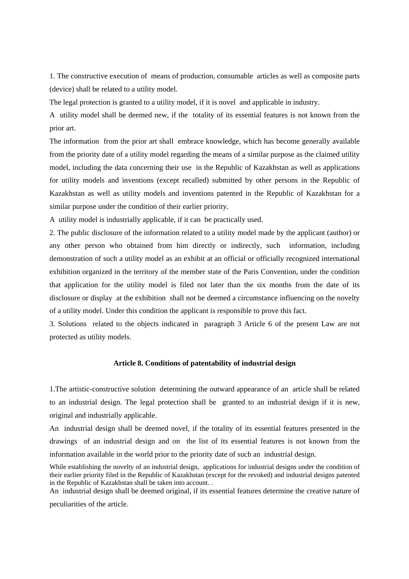1. The constructive execution of means of production, consumable articles as well as composite parts (device) shall be related to a utility model.

The legal protection is granted to a utility model, if it is novel and applicable in industry.

A utility model shall be deemed new, if the totality of its essential features is not known from the prior art.

The information from the prior art shall embrace knowledge, which has become generally available from the priority date of a utility model regarding the means of a similar purpose as the claimed utility model, including the data concerning their use in the Republic of Kazakhstan as well as applications for utility models and inventions (except recalled) submitted by other persons in the Republic of Kazakhstan as well as utility models and inventions patented in the Republic of Kazakhstan for a similar purpose under the condition of their earlier priority.

A utility model is industrially applicable, if it can be practically used.

2. The public disclosure of the information related to a utility model made by the applicant (author) or any other person who obtained from him directly or indirectly, such information, including demonstration of such a utility model as an exhibit at an official or officially recognized international exhibition organized in the territory of the member state of the Paris Convention, under the condition that application for the utility model is filed not later than the six months from the date of its disclosure or display at the exhibition shall not be deemed a circumstance influencing on the novelty of a utility model. Under this condition the applicant is responsible to prove this fact.

3. Solutions related to the objects indicated in paragraph 3 Article 6 of the present Law are not protected as utility models.

#### **Article 8. Conditions of patentability of industrial design**

1.The artistic-constructive solution determining the outward appearance of an article shall be related to an industrial design. The legal protection shall be granted to an industrial design if it is new, original and industrially applicable.

An industrial design shall be deemed novel, if the totality of its essential features presented in the drawings of an industrial design and on the list of its essential features is not known from the information available in the world prior to the priority date of such an industrial design.

While establishing the novelty of an industrial design, applications for industrial designs under the condition of their earlier priority filed in the Republic of Kazakhstan (except for the revoked) and industrial designs patented in the Republic of Kazakhstan shall be taken into account. .

An industrial design shall be deemed original, if its essential features determine the creative nature of

peculiarities of the article.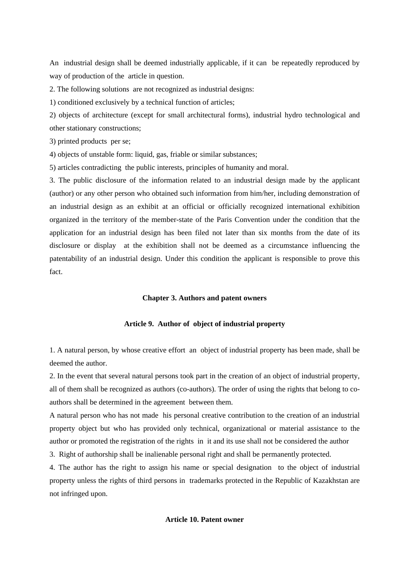An industrial design shall be deemed industrially applicable, if it can be repeatedly reproduced by way of production of the article in question.

2. The following solutions are not recognized as industrial designs:

1) conditioned exclusively by a technical function of articles;

2) objects of architecture (except for small architectural forms), industrial hydro technological and other stationary constructions;

3) printed products per se;

4) objects of unstable form: liquid, gas, friable or similar substances;

5) articles contradicting the public interests, principles of humanity and moral.

3. The public disclosure of the information related to an industrial design made by the applicant (author) or any other person who obtained such information from him/her, including demonstration of an industrial design as an exhibit at an official or officially recognized international exhibition organized in the territory of the member-state of the Paris Convention under the condition that the application for an industrial design has been filed not later than six months from the date of its disclosure or display at the exhibition shall not be deemed as a circumstance influencing the patentability of an industrial design. Under this condition the applicant is responsible to prove this fact.

## **Chapter 3. Authors and patent owners**

#### **Article 9. Author of object of industrial property**

1. A natural person, by whose creative effort an object of industrial property has been made, shall be deemed the author.

2. In the event that several natural persons took part in the creation of an object of industrial property, all of them shall be recognized as authors (co-authors). The order of using the rights that belong to coauthors shall be determined in the agreement between them.

A natural person who has not made his personal creative contribution to the creation of an industrial property object but who has provided only technical, organizational or material assistance to the author or promoted the registration of the rights in it and its use shall not be considered the author

3. Right of authorship shall be inalienable personal right and shall be permanently protected.

4. The author has the right to assign his name or special designation to the object of industrial property unless the rights of third persons in trademarks protected in the Republic of Kazakhstan are not infringed upon.

## **Article 10. Patent owner**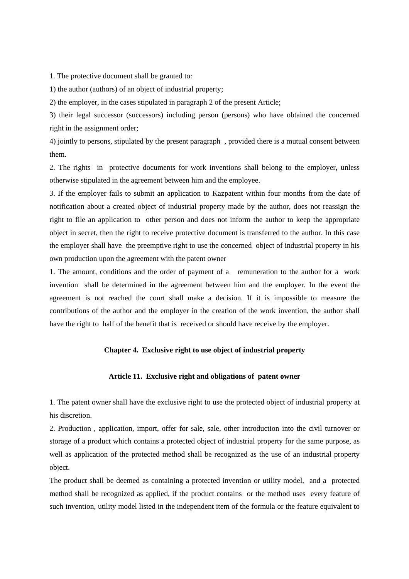1. The protective document shall be granted to:

1) the author (authors) of an object of industrial property;

2) the employer, in the cases stipulated in paragraph 2 of the present Article;

3) their legal successor (successors) including person (persons) who have obtained the concerned right in the assignment order;

4) jointly to persons, stipulated by the present paragraph , provided there is a mutual consent between them.

2. The rights in protective documents for work inventions shall belong to the employer, unless otherwise stipulated in the agreement between him and the employee.

3. If the employer fails to submit an application to Kazpatent within four months from the date of notification about a created object of industrial property made by the author, does not reassign the right to file an application to other person and does not inform the author to keep the appropriate object in secret, then the right to receive protective document is transferred to the author. In this case the employer shall have the preemptive right to use the concerned object of industrial property in his own production upon the agreement with the patent owner

1. The amount, conditions and the order of payment of a remuneration to the author for a work invention shall be determined in the agreement between him and the employer. In the event the agreement is not reached the court shall make a decision. If it is impossible to measure the contributions of the author and the employer in the creation of the work invention, the author shall have the right to half of the benefit that is received or should have receive by the employer.

# **Chapter 4. Exclusive right to use object of industrial property**

## **Article 11. Exclusive right and obligations of patent owner**

1. The patent owner shall have the exclusive right to use the protected object of industrial property at his discretion.

2. Production , application, import, offer for sale, sale, other introduction into the civil turnover or storage of a product which contains a protected object of industrial property for the same purpose, as well as application of the protected method shall be recognized as the use of an industrial property object.

The product shall be deemed as containing a protected invention or utility model, and a protected method shall be recognized as applied, if the product contains or the method uses every feature of such invention, utility model listed in the independent item of the formula or the feature equivalent to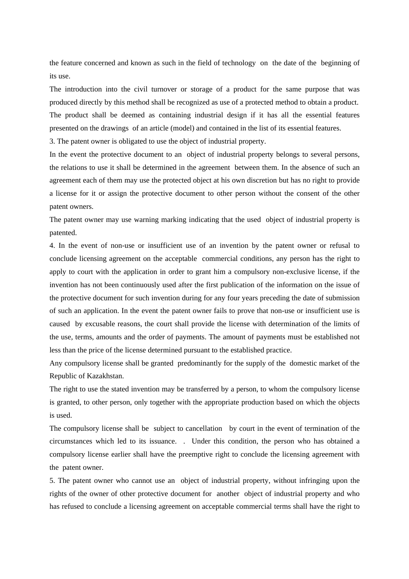the feature concerned and known as such in the field of technology on the date of the beginning of its use.

The introduction into the civil turnover or storage of a product for the same purpose that was produced directly by this method shall be recognized as use of a protected method to obtain a product. The product shall be deemed as containing industrial design if it has all the essential features presented on the drawings of an article (model) and contained in the list of its essential features.

3. The patent owner is obligated to use the object of industrial property.

In the event the protective document to an object of industrial property belongs to several persons, the relations to use it shall be determined in the agreement between them. In the absence of such an agreement each of them may use the protected object at his own discretion but has no right to provide a license for it or assign the protective document to other person without the consent of the other patent owners.

The patent owner may use warning marking indicating that the used object of industrial property is patented.

4. In the event of non-use or insufficient use of an invention by the patent owner or refusal to conclude licensing agreement on the acceptable commercial conditions, any person has the right to apply to court with the application in order to grant him a compulsory non-exclusive license, if the invention has not been continuously used after the first publication of the information on the issue of the protective document for such invention during for any four years preceding the date of submission of such an application. In the event the patent owner fails to prove that non-use or insufficient use is caused by excusable reasons, the court shall provide the license with determination of the limits of the use, terms, amounts and the order of payments. The amount of payments must be established not less than the price of the license determined pursuant to the established practice.

Any compulsory license shall be granted predominantly for the supply of the domestic market of the Republic of Kazakhstan.

The right to use the stated invention may be transferred by a person, to whom the compulsory license is granted, to other person, only together with the appropriate production based on which the objects is used.

The compulsory license shall be subject to cancellation by court in the event of termination of the circumstances which led to its issuance. . Under this condition, the person who has obtained a compulsory license earlier shall have the preemptive right to conclude the licensing agreement with the patent owner.

5. The patent owner who cannot use an object of industrial property, without infringing upon the rights of the owner of other protective document for another object of industrial property and who has refused to conclude a licensing agreement on acceptable commercial terms shall have the right to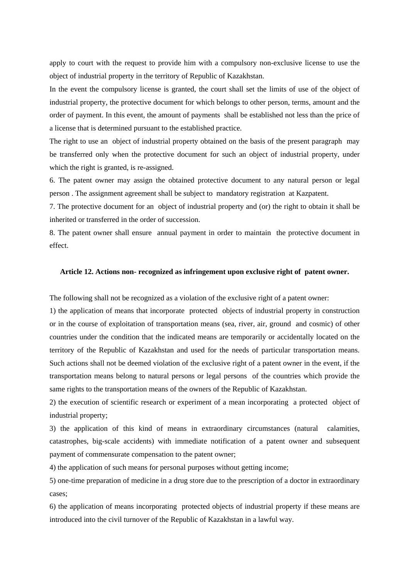apply to court with the request to provide him with a compulsory non-exclusive license to use the object of industrial property in the territory of Republic of Kazakhstan.

In the event the compulsory license is granted, the court shall set the limits of use of the object of industrial property, the protective document for which belongs to other person, terms, amount and the order of payment. In this event, the amount of payments shall be established not less than the price of a license that is determined pursuant to the established practice.

The right to use an object of industrial property obtained on the basis of the present paragraph may be transferred only when the protective document for such an object of industrial property, under which the right is granted, is re-assigned.

6. The patent owner may assign the obtained protective document to any natural person or legal person . The assignment agreement shall be subject to mandatory registration at Kazpatent.

7. The protective document for an object of industrial property and (or) the right to obtain it shall be inherited or transferred in the order of succession.

8. The patent owner shall ensure annual payment in order to maintain the protective document in effect.

## **Article 12. Actions non- recognized as infringement upon exclusive right of patent owner.**

The following shall not be recognized as a violation of the exclusive right of a patent owner:

1) the application of means that incorporate protected objects of industrial property in construction or in the course of exploitation of transportation means (sea, river, air, ground and cosmic) of other countries under the condition that the indicated means are temporarily or accidentally located on the territory of the Republic of Kazakhstan and used for the needs of particular transportation means. Such actions shall not be deemed violation of the exclusive right of a patent owner in the event, if the transportation means belong to natural persons or legal persons of the countries which provide the same rights to the transportation means of the owners of the Republic of Kazakhstan.

2) the execution of scientific research or experiment of a mean incorporating a protected object of industrial property;

3) the application of this kind of means in extraordinary circumstances (natural calamities, catastrophes, big-scale accidents) with immediate notification of a patent owner and subsequent payment of commensurate compensation to the patent owner;

4) the application of such means for personal purposes without getting income;

5) one-time preparation of medicine in a drug store due to the prescription of a doctor in extraordinary cases;

6) the application of means incorporating protected objects of industrial property if these means are introduced into the civil turnover of the Republic of Kazakhstan in a lawful way.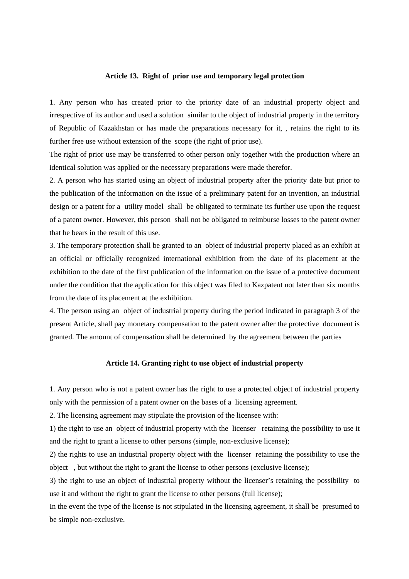#### **Article 13. Right of prior use and temporary legal protection**

1. Any person who has created prior to the priority date of an industrial property object and irrespective of its author and used a solution similar to the object of industrial property in the territory of Republic of Kazakhstan or has made the preparations necessary for it, , retains the right to its further free use without extension of the scope (the right of prior use).

The right of prior use may be transferred to other person only together with the production where an identical solution was applied or the necessary preparations were made therefor.

2. A person who has started using an object of industrial property after the priority date but prior to the publication of the information on the issue of a preliminary patent for an invention, an industrial design or a patent for a utility model shall be obligated to terminate its further use upon the request of a patent owner. However, this person shall not be obligated to reimburse losses to the patent owner that he bears in the result of this use.

3. The temporary protection shall be granted to an object of industrial property placed as an exhibit at an official or officially recognized international exhibition from the date of its placement at the exhibition to the date of the first publication of the information on the issue of a protective document under the condition that the application for this object was filed to Kazpatent not later than six months from the date of its placement at the exhibition.

4. The person using an object of industrial property during the period indicated in paragraph 3 of the present Article, shall pay monetary compensation to the patent owner after the protective document is granted. The amount of compensation shall be determined by the agreement between the parties

#### **Article 14. Granting right to use object of industrial property**

1. Any person who is not a patent owner has the right to use a protected object of industrial property only with the permission of a patent owner on the bases of a licensing agreement.

2. The licensing agreement may stipulate the provision of the licensee with:

1) the right to use an object of industrial property with the licenser retaining the possibility to use it and the right to grant a license to other persons (simple, non-exclusive license);

2) the rights to use an industrial property object with the licenser retaining the possibility to use the object , but without the right to grant the license to other persons (exclusive license);

3) the right to use an object of industrial property without the licenser's retaining the possibility to use it and without the right to grant the license to other persons (full license);

In the event the type of the license is not stipulated in the licensing agreement, it shall be presumed to be simple non-exclusive.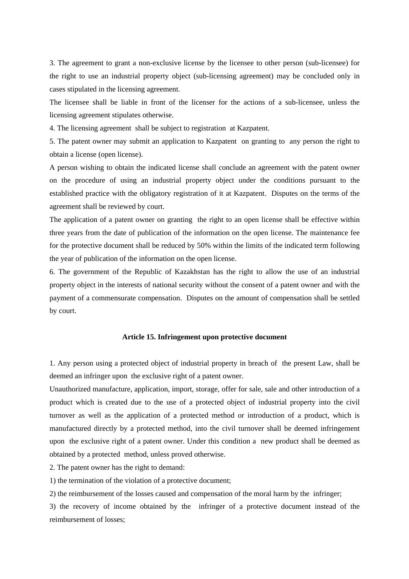3. The agreement to grant a non-exclusive license by the licensee to other person (sub-licensee) for the right to use an industrial property object (sub-licensing agreement) may be concluded only in cases stipulated in the licensing agreement.

The licensee shall be liable in front of the licenser for the actions of a sub-licensee, unless the licensing agreement stipulates otherwise.

4. The licensing agreement shall be subject to registration at Kazpatent.

5. The patent owner may submit an application to Kazpatent on granting to any person the right to obtain a license (open license).

A person wishing to obtain the indicated license shall conclude an agreement with the patent owner on the procedure of using an industrial property object under the conditions pursuant to the established practice with the obligatory registration of it at Kazpatent. Disputes on the terms of the agreement shall be reviewed by court.

The application of a patent owner on granting the right to an open license shall be effective within three years from the date of publication of the information on the open license. The maintenance fee for the protective document shall be reduced by 50% within the limits of the indicated term following the year of publication of the information on the open license.

6. The government of the Republic of Kazakhstan has the right to allow the use of an industrial property object in the interests of national security without the consent of a patent owner and with the payment of a commensurate compensation. Disputes on the amount of compensation shall be settled by court.

#### **Article 15. Infringement upon protective document**

1. Any person using a protected object of industrial property in breach of the present Law, shall be deemed an infringer upon the exclusive right of a patent owner.

Unauthorized manufacture, application, import, storage, offer for sale, sale and other introduction of a product which is created due to the use of a protected object of industrial property into the civil turnover as well as the application of a protected method or introduction of a product, which is manufactured directly by a protected method, into the civil turnover shall be deemed infringement upon the exclusive right of a patent owner. Under this condition a new product shall be deemed as obtained by a protected method, unless proved otherwise.

2. The patent owner has the right to demand:

1) the termination of the violation of a protective document;

2) the reimbursement of the losses caused and compensation of the moral harm by the infringer;

3) the recovery of income obtained by the infringer of a protective document instead of the reimbursement of losses;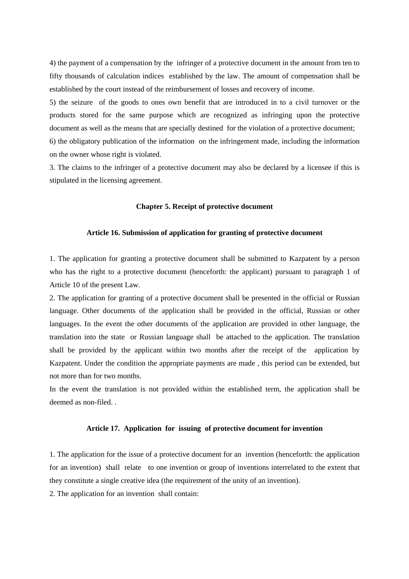4) the payment of a compensation by the infringer of a protective document in the amount from ten to fifty thousands of calculation indices established by the law. The amount of compensation shall be established by the court instead of the reimbursement of losses and recovery of income.

5) the seizure of the goods to ones own benefit that are introduced in to a civil turnover or the products stored for the same purpose which are recognized as infringing upon the protective document as well as the means that are specially destined for the violation of a protective document; 6) the obligatory publication of the information on the infringement made, including the information on the owner whose right is violated.

3. The claims to the infringer of a protective document may also be declared by a licensee if this is stipulated in the licensing agreement.

## **Chapter 5. Receipt of protective document**

#### **Article 16. Submission of application for granting of protective document**

1. The application for granting a protective document shall be submitted to Kazpatent by a person who has the right to a protective document (henceforth: the applicant) pursuant to paragraph 1 of Article 10 of the present Law.

2. The application for granting of a protective document shall be presented in the official or Russian language. Other documents of the application shall be provided in the official, Russian or other languages. In the event the other documents of the application are provided in other language, the translation into the state or Russian language shall be attached to the application. The translation shall be provided by the applicant within two months after the receipt of the application by Kazpatent. Under the condition the appropriate payments are made , this period can be extended, but not more than for two months.

In the event the translation is not provided within the established term, the application shall be deemed as non-filed. .

#### **Article 17. Application for issuing of protective document for invention**

1. The application for the issue of a protective document for an invention (henceforth: the application for an invention) shall relate to one invention or group of inventions interrelated to the extent that they constitute a single creative idea (the requirement of the unity of an invention).

2. The application for an invention shall contain: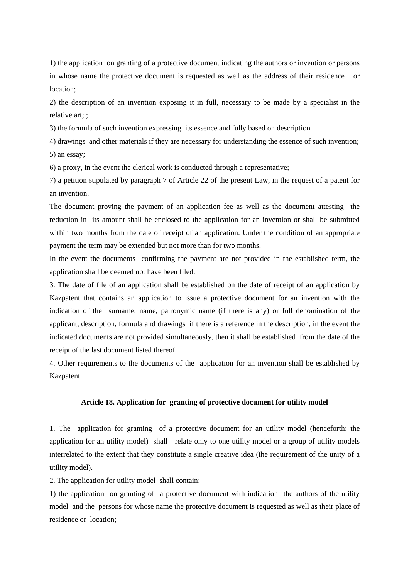1) the application on granting of a protective document indicating the authors or invention or persons in whose name the protective document is requested as well as the address of their residence or location;

2) the description of an invention exposing it in full, necessary to be made by a specialist in the relative art; ;

3) the formula of such invention expressing its essence and fully based on description

4) drawings and other materials if they are necessary for understanding the essence of such invention; 5) an essay;

6) a proxy, in the event the clerical work is conducted through a representative;

7) a petition stipulated by paragraph 7 of Article 22 of the present Law, in the request of a patent for an invention.

The document proving the payment of an application fee as well as the document attesting the reduction in its amount shall be enclosed to the application for an invention or shall be submitted within two months from the date of receipt of an application. Under the condition of an appropriate payment the term may be extended but not more than for two months.

In the event the documents confirming the payment are not provided in the established term, the application shall be deemed not have been filed.

3. The date of file of an application shall be established on the date of receipt of an application by Kazpatent that contains an application to issue a protective document for an invention with the indication of the surname, name, patronymic name (if there is any) or full denomination of the applicant, description, formula and drawings if there is a reference in the description, in the event the indicated documents are not provided simultaneously, then it shall be established from the date of the receipt of the last document listed thereof.

4. Other requirements to the documents of the application for an invention shall be established by Kazpatent.

# **Article 18. Application for granting of protective document for utility model**

1. The application for granting of a protective document for an utility model (henceforth: the application for an utility model) shall relate only to one utility model or a group of utility models interrelated to the extent that they constitute a single creative idea (the requirement of the unity of a utility model).

2. The application for utility model shall contain:

1) the application on granting of a protective document with indication the authors of the utility model and the persons for whose name the protective document is requested as well as their place of residence or location;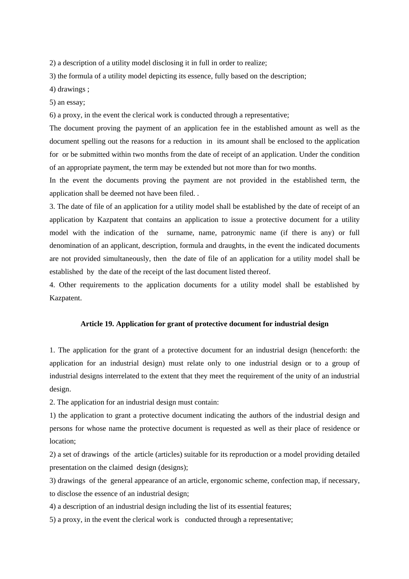2) a description of a utility model disclosing it in full in order to realize;

3) the formula of a utility model depicting its essence, fully based on the description;

4) drawings ;

5) an essay;

6) a proxy, in the event the clerical work is conducted through a representative;

The document proving the payment of an application fee in the established amount as well as the document spelling out the reasons for a reduction in its amount shall be enclosed to the application for or be submitted within two months from the date of receipt of an application. Under the condition of an appropriate payment, the term may be extended but not more than for two months.

In the event the documents proving the payment are not provided in the established term, the application shall be deemed not have been filed. .

3. The date of file of an application for a utility model shall be established by the date of receipt of an application by Kazpatent that contains an application to issue a protective document for a utility model with the indication of the surname, name, patronymic name (if there is any) or full denomination of an applicant, description, formula and draughts, in the event the indicated documents are not provided simultaneously, then the date of file of an application for a utility model shall be established by the date of the receipt of the last document listed thereof.

4. Other requirements to the application documents for a utility model shall be established by Kazpatent.

#### **Article 19. Application for grant of protective document for industrial design**

1. The application for the grant of a protective document for an industrial design (henceforth: the application for an industrial design) must relate only to one industrial design or to a group of industrial designs interrelated to the extent that they meet the requirement of the unity of an industrial design.

2. The application for an industrial design must contain:

1) the application to grant a protective document indicating the authors of the industrial design and persons for whose name the protective document is requested as well as their place of residence or location;

2) a set of drawings of the article (articles) suitable for its reproduction or a model providing detailed presentation on the claimed design (designs);

3) drawings of the general appearance of an article, ergonomic scheme, confection map, if necessary, to disclose the essence of an industrial design;

4) a description of an industrial design including the list of its essential features;

5) a proxy, in the event the clerical work is conducted through a representative;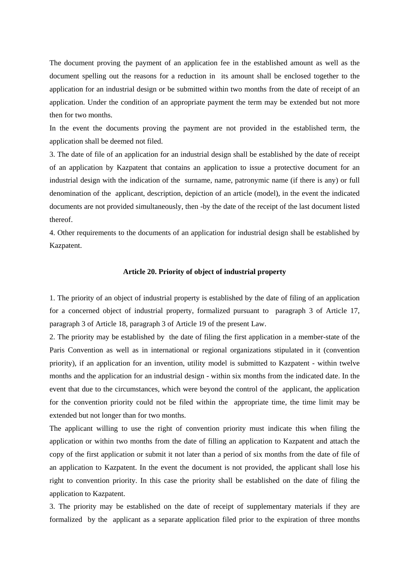The document proving the payment of an application fee in the established amount as well as the document spelling out the reasons for a reduction in its amount shall be enclosed together to the application for an industrial design or be submitted within two months from the date of receipt of an application. Under the condition of an appropriate payment the term may be extended but not more then for two months.

In the event the documents proving the payment are not provided in the established term, the application shall be deemed not filed.

3. The date of file of an application for an industrial design shall be established by the date of receipt of an application by Kazpatent that contains an application to issue a protective document for an industrial design with the indication of the surname, name, patronymic name (if there is any) or full denomination of the applicant, description, depiction of an article (model), in the event the indicated documents are not provided simultaneously, then -by the date of the receipt of the last document listed thereof.

4. Other requirements to the documents of an application for industrial design shall be established by Kazpatent.

#### **Article 20. Priority of object of industrial property**

1. The priority of an object of industrial property is established by the date of filing of an application for a concerned object of industrial property, formalized pursuant to paragraph 3 of Article 17, paragraph 3 of Article 18, paragraph 3 of Article 19 of the present Law.

2. The priority may be established by the date of filing the first application in a member-state of the Paris Convention as well as in international or regional organizations stipulated in it (convention priority), if an application for an invention, utility model is submitted to Kazpatent - within twelve months and the application for an industrial design - within six months from the indicated date. In the event that due to the circumstances, which were beyond the control of the applicant, the application for the convention priority could not be filed within the appropriate time, the time limit may be extended but not longer than for two months.

The applicant willing to use the right of convention priority must indicate this when filing the application or within two months from the date of filling an application to Kazpatent and attach the copy of the first application or submit it not later than a period of six months from the date of file of an application to Kazpatent. In the event the document is not provided, the applicant shall lose his right to convention priority. In this case the priority shall be established on the date of filing the application to Kazpatent.

3. The priority may be established on the date of receipt of supplementary materials if they are formalized by the applicant as a separate application filed prior to the expiration of three months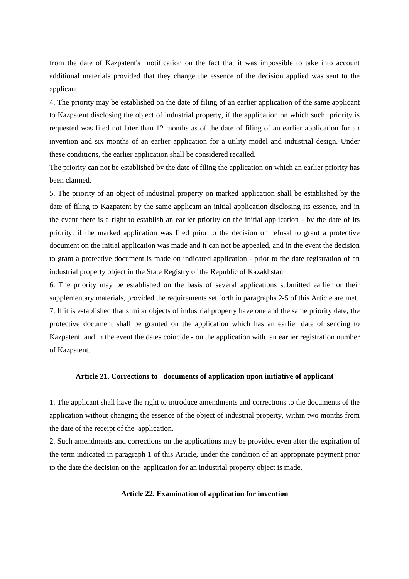from the date of Kazpatent's notification on the fact that it was impossible to take into account additional materials provided that they change the essence of the decision applied was sent to the applicant.

4. The priority may be established on the date of filing of an earlier application of the same applicant to Kazpatent disclosing the object of industrial property, if the application on which such priority is requested was filed not later than 12 months as of the date of filing of an earlier application for an invention and six months of an earlier application for a utility model and industrial design. Under these conditions, the earlier application shall be considered recalled.

The priority can not be established by the date of filing the application on which an earlier priority has been claimed.

5. The priority of an object of industrial property on marked application shall be established by the date of filing to Kazpatent by the same applicant an initial application disclosing its essence, and in the event there is a right to establish an earlier priority on the initial application - by the date of its priority, if the marked application was filed prior to the decision on refusal to grant a protective document on the initial application was made and it can not be appealed, and in the event the decision to grant a protective document is made on indicated application - prior to the date registration of an industrial property object in the State Registry of the Republic of Kazakhstan.

6. The priority may be established on the basis of several applications submitted earlier or their supplementary materials, provided the requirements set forth in paragraphs 2-5 of this Article are met. 7. If it is established that similar objects of industrial property have one and the same priority date, the protective document shall be granted on the application which has an earlier date of sending to Kazpatent, and in the event the dates coincide - on the application with an earlier registration number of Kazpatent.

## **Article 21. Corrections to documents of application upon initiative of applicant**

1. The applicant shall have the right to introduce amendments and corrections to the documents of the application without changing the essence of the object of industrial property, within two months from the date of the receipt of the application.

2. Such amendments and corrections on the applications may be provided even after the expiration of the term indicated in paragraph 1 of this Article, under the condition of an appropriate payment prior to the date the decision on the application for an industrial property object is made.

#### **Article 22. Examination of application for invention**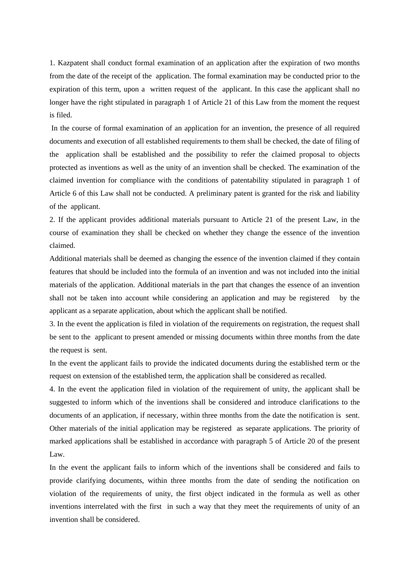1. Kazpatent shall conduct formal examination of an application after the expiration of two months from the date of the receipt of the application. The formal examination may be conducted prior to the expiration of this term, upon a written request of the applicant. In this case the applicant shall no longer have the right stipulated in paragraph 1 of Article 21 of this Law from the moment the request is filed.

 In the course of formal examination of an application for an invention, the presence of all required documents and execution of all established requirements to them shall be checked, the date of filing of the application shall be established and the possibility to refer the claimed proposal to objects protected as inventions as well as the unity of an invention shall be checked. The examination of the claimed invention for compliance with the conditions of patentability stipulated in paragraph 1 of Article 6 of this Law shall not be conducted. A preliminary patent is granted for the risk and liability of the applicant.

2. If the applicant provides additional materials pursuant to Article 21 of the present Law, in the course of examination they shall be checked on whether they change the essence of the invention claimed.

Additional materials shall be deemed as changing the essence of the invention claimed if they contain features that should be included into the formula of an invention and was not included into the initial materials of the application. Additional materials in the part that changes the essence of an invention shall not be taken into account while considering an application and may be registered by the applicant as a separate application, about which the applicant shall be notified.

3. In the event the application is filed in violation of the requirements on registration, the request shall be sent to the applicant to present amended or missing documents within three months from the date the request is sent.

In the event the applicant fails to provide the indicated documents during the established term or the request on extension of the established term, the application shall be considered as recalled.

4. In the event the application filed in violation of the requirement of unity, the applicant shall be suggested to inform which of the inventions shall be considered and introduce clarifications to the documents of an application, if necessary, within three months from the date the notification is sent. Other materials of the initial application may be registered as separate applications. The priority of marked applications shall be established in accordance with paragraph 5 of Article 20 of the present Law.

In the event the applicant fails to inform which of the inventions shall be considered and fails to provide clarifying documents, within three months from the date of sending the notification on violation of the requirements of unity, the first object indicated in the formula as well as other inventions interrelated with the first in such a way that they meet the requirements of unity of an invention shall be considered.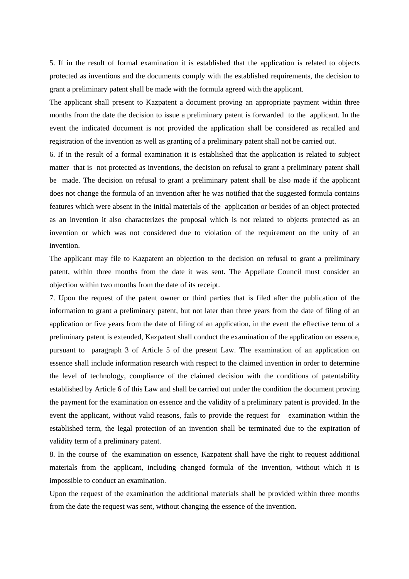5. If in the result of formal examination it is established that the application is related to objects protected as inventions and the documents comply with the established requirements, the decision to grant a preliminary patent shall be made with the formula agreed with the applicant.

The applicant shall present to Kazpatent a document proving an appropriate payment within three months from the date the decision to issue a preliminary patent is forwarded to the applicant. In the event the indicated document is not provided the application shall be considered as recalled and registration of the invention as well as granting of a preliminary patent shall not be carried out.

6. If in the result of a formal examination it is established that the application is related to subject matter that is not protected as inventions, the decision on refusal to grant a preliminary patent shall be made. The decision on refusal to grant a preliminary patent shall be also made if the applicant does not change the formula of an invention after he was notified that the suggested formula contains features which were absent in the initial materials of the application or besides of an object protected as an invention it also characterizes the proposal which is not related to objects protected as an invention or which was not considered due to violation of the requirement on the unity of an invention.

The applicant may file to Kazpatent an objection to the decision on refusal to grant a preliminary patent, within three months from the date it was sent. The Appellate Council must consider an objection within two months from the date of its receipt.

7. Upon the request of the patent owner or third parties that is filed after the publication of the information to grant a preliminary patent, but not later than three years from the date of filing of an application or five years from the date of filing of an application, in the event the effective term of a preliminary patent is extended, Kazpatent shall conduct the examination of the application on essence, pursuant to paragraph 3 of Article 5 of the present Law. The examination of an application on essence shall include information research with respect to the claimed invention in order to determine the level of technology, compliance of the claimed decision with the conditions of patentability established by Article 6 of this Law and shall be carried out under the condition the document proving the payment for the examination on essence and the validity of a preliminary patent is provided. In the event the applicant, without valid reasons, fails to provide the request for examination within the established term, the legal protection of an invention shall be terminated due to the expiration of validity term of a preliminary patent.

8. In the course of the examination on essence, Kazpatent shall have the right to request additional materials from the applicant, including changed formula of the invention, without which it is impossible to conduct an examination.

Upon the request of the examination the additional materials shall be provided within three months from the date the request was sent, without changing the essence of the invention.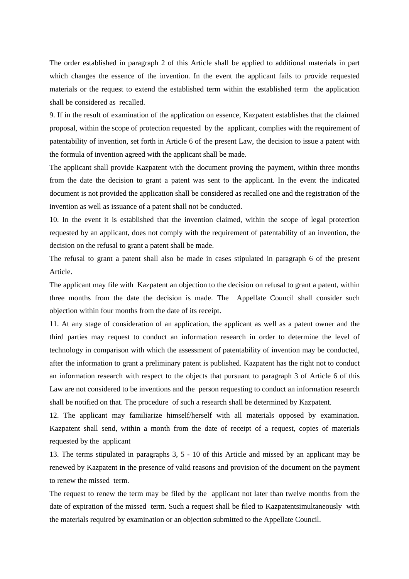The order established in paragraph 2 of this Article shall be applied to additional materials in part which changes the essence of the invention. In the event the applicant fails to provide requested materials or the request to extend the established term within the established term the application shall be considered as recalled.

9. If in the result of examination of the application on essence, Kazpatent establishes that the claimed proposal, within the scope of protection requested by the applicant, complies with the requirement of patentability of invention, set forth in Article 6 of the present Law, the decision to issue a patent with the formula of invention agreed with the applicant shall be made.

The applicant shall provide Kazpatent with the document proving the payment, within three months from the date the decision to grant a patent was sent to the applicant. In the event the indicated document is not provided the application shall be considered as recalled one and the registration of the invention as well as issuance of a patent shall not be conducted.

10. In the event it is established that the invention claimed, within the scope of legal protection requested by an applicant, does not comply with the requirement of patentability of an invention, the decision on the refusal to grant a patent shall be made.

The refusal to grant a patent shall also be made in cases stipulated in paragraph 6 of the present Article.

The applicant may file with Kazpatent an objection to the decision on refusal to grant a patent, within three months from the date the decision is made. The Appellate Council shall consider such objection within four months from the date of its receipt.

11. At any stage of consideration of an application, the applicant as well as a patent owner and the third parties may request to conduct an information research in order to determine the level of technology in comparison with which the assessment of patentability of invention may be conducted, after the information to grant a preliminary patent is published. Kazpatent has the right not to conduct an information research with respect to the objects that pursuant to paragraph 3 of Article 6 of this Law are not considered to be inventions and the person requesting to conduct an information research shall be notified on that. The procedure of such a research shall be determined by Kazpatent.

12. The applicant may familiarize himself/herself with all materials opposed by examination. Kazpatent shall send, within a month from the date of receipt of a request, copies of materials requested by the applicant

13. The terms stipulated in paragraphs 3, 5 - 10 of this Article and missed by an applicant may be renewed by Kazpatent in the presence of valid reasons and provision of the document on the payment to renew the missed term.

The request to renew the term may be filed by the applicant not later than twelve months from the date of expiration of the missed term. Such a request shall be filed to Kazpatentsimultaneously with the materials required by examination or an objection submitted to the Appellate Council.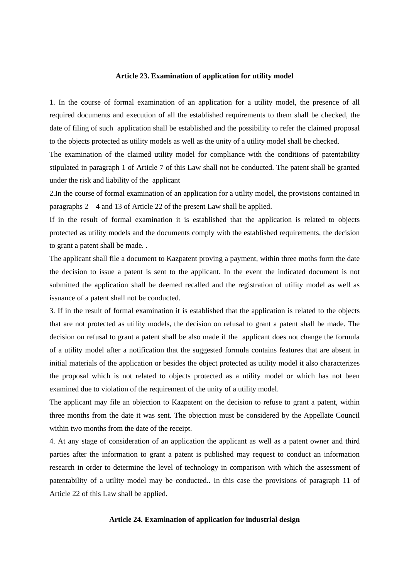#### **Article 23. Examination of application for utility model**

1. In the course of formal examination of an application for a utility model, the presence of all required documents and execution of all the established requirements to them shall be checked, the date of filing of such application shall be established and the possibility to refer the claimed proposal to the objects protected as utility models as well as the unity of a utility model shall be checked.

The examination of the claimed utility model for compliance with the conditions of patentability stipulated in paragraph 1 of Article 7 of this Law shall not be conducted. The patent shall be granted under the risk and liability of the applicant

2.In the course of formal examination of an application for a utility model, the provisions contained in paragraphs 2 – 4 and 13 of Article 22 of the present Law shall be applied.

If in the result of formal examination it is established that the application is related to objects protected as utility models and the documents comply with the established requirements, the decision to grant a patent shall be made. .

The applicant shall file a document to Kazpatent proving a payment, within three moths form the date the decision to issue a patent is sent to the applicant. In the event the indicated document is not submitted the application shall be deemed recalled and the registration of utility model as well as issuance of a patent shall not be conducted.

3. If in the result of formal examination it is established that the application is related to the objects that are not protected as utility models, the decision on refusal to grant a patent shall be made. The decision on refusal to grant a patent shall be also made if the applicant does not change the formula of a utility model after a notification that the suggested formula contains features that are absent in initial materials of the application or besides the object protected as utility model it also characterizes the proposal which is not related to objects protected as a utility model or which has not been examined due to violation of the requirement of the unity of a utility model.

The applicant may file an objection to Kazpatent on the decision to refuse to grant a patent, within three months from the date it was sent. The objection must be considered by the Appellate Council within two months from the date of the receipt.

4. At any stage of consideration of an application the applicant as well as a patent owner and third parties after the information to grant a patent is published may request to conduct an information research in order to determine the level of technology in comparison with which the assessment of patentability of a utility model may be conducted.. In this case the provisions of paragraph 11 of Article 22 of this Law shall be applied.

## **Article 24. Examination of application for industrial design**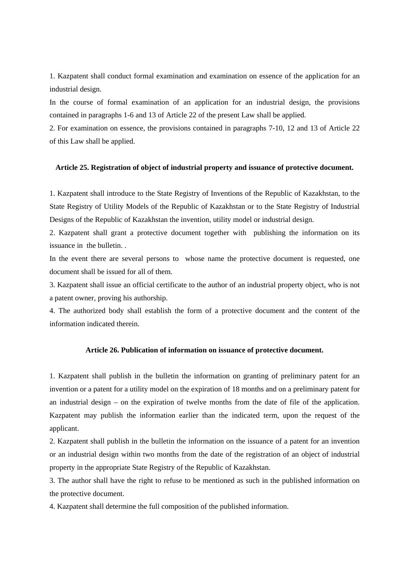1. Kazpatent shall conduct formal examination and examination on essence of the application for an industrial design.

In the course of formal examination of an application for an industrial design, the provisions contained in paragraphs 1-6 and 13 of Article 22 of the present Law shall be applied.

2. For examination on essence, the provisions contained in paragraphs 7-10, 12 and 13 of Article 22 of this Law shall be applied.

## **Article 25. Registration of object of industrial property and issuance of protective document.**

1. Kazpatent shall introduce to the State Registry of Inventions of the Republic of Kazakhstan, to the State Registry of Utility Models of the Republic of Kazakhstan or to the State Registry of Industrial Designs of the Republic of Kazakhstan the invention, utility model or industrial design.

2. Kazpatent shall grant a protective document together with publishing the information on its issuance in the bulletin. .

In the event there are several persons to whose name the protective document is requested, one document shall be issued for all of them.

3. Kazpatent shall issue an official certificate to the author of an industrial property object, who is not a patent owner, proving his authorship.

4. The authorized body shall establish the form of a protective document and the content of the information indicated therein.

# **Article 26. Publication of information on issuance of protective document.**

1. Kazpatent shall publish in the bulletin the information on granting of preliminary patent for an invention or a patent for a utility model on the expiration of 18 months and on a preliminary patent for an industrial design – on the expiration of twelve months from the date of file of the application. Kazpatent may publish the information earlier than the indicated term, upon the request of the applicant.

2. Kazpatent shall publish in the bulletin the information on the issuance of a patent for an invention or an industrial design within two months from the date of the registration of an object of industrial property in the appropriate State Registry of the Republic of Kazakhstan.

3. The author shall have the right to refuse to be mentioned as such in the published information on the protective document.

4. Kazpatent shall determine the full composition of the published information.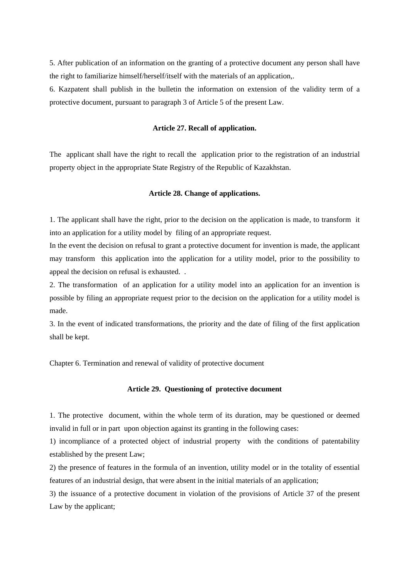5. After publication of an information on the granting of a protective document any person shall have the right to familiarize himself/herself/itself with the materials of an application,.

6. Kazpatent shall publish in the bulletin the information on extension of the validity term of a protective document, pursuant to paragraph 3 of Article 5 of the present Law.

## **Article 27. Recall of application.**

The applicant shall have the right to recall the application prior to the registration of an industrial property object in the appropriate State Registry of the Republic of Kazakhstan.

## **Article 28. Change of applications.**

1. The applicant shall have the right, prior to the decision on the application is made, to transform it into an application for a utility model by filing of an appropriate request.

In the event the decision on refusal to grant a protective document for invention is made, the applicant may transform this application into the application for a utility model, prior to the possibility to appeal the decision on refusal is exhausted. .

2. The transformation of an application for a utility model into an application for an invention is possible by filing an appropriate request prior to the decision on the application for a utility model is made.

3. In the event of indicated transformations, the priority and the date of filing of the first application shall be kept.

Chapter 6. Termination and renewal of validity of protective document

## **Article 29. Questioning of protective document**

1. The protective document, within the whole term of its duration, may be questioned or deemed invalid in full or in part upon objection against its granting in the following cases:

1) incompliance of a protected object of industrial property with the conditions of patentability established by the present Law;

2) the presence of features in the formula of an invention, utility model or in the totality of essential features of an industrial design, that were absent in the initial materials of an application;

3) the issuance of a protective document in violation of the provisions of Article 37 of the present Law by the applicant;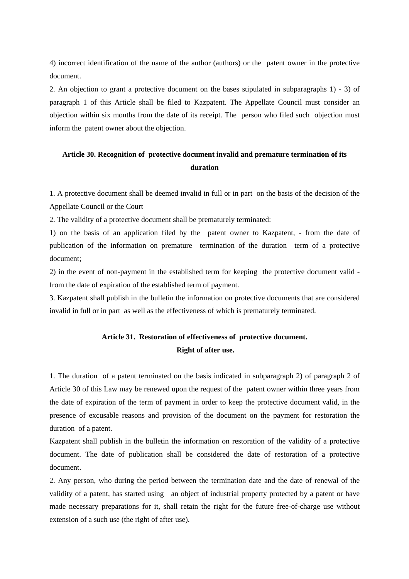4) incorrect identification of the name of the author (authors) or the patent owner in the protective document.

2. An objection to grant a protective document on the bases stipulated in subparagraphs 1) - 3) of paragraph 1 of this Article shall be filed to Kazpatent. The Appellate Council must consider an objection within six months from the date of its receipt. The person who filed such objection must inform the patent owner about the objection.

# **Article 30. Recognition of protective document invalid and premature termination of its duration**

1. A protective document shall be deemed invalid in full or in part on the basis of the decision of the Appellate Council or the Court

2. The validity of a protective document shall be prematurely terminated:

1) on the basis of an application filed by the patent owner to Kazpatent, - from the date of publication of the information on premature termination of the duration term of a protective document;

2) in the event of non-payment in the established term for keeping the protective document valid from the date of expiration of the established term of payment.

3. Kazpatent shall publish in the bulletin the information on protective documents that are considered invalid in full or in part as well as the effectiveness of which is prematurely terminated.

# **Article 31. Restoration of effectiveness of protective document. Right of after use.**

1. The duration of a patent terminated on the basis indicated in subparagraph 2) of paragraph 2 of Article 30 of this Law may be renewed upon the request of the patent owner within three years from the date of expiration of the term of payment in order to keep the protective document valid, in the presence of excusable reasons and provision of the document on the payment for restoration the duration of a patent.

Kazpatent shall publish in the bulletin the information on restoration of the validity of a protective document. The date of publication shall be considered the date of restoration of a protective document.

2. Any person, who during the period between the termination date and the date of renewal of the validity of a patent, has started using an object of industrial property protected by a patent or have made necessary preparations for it, shall retain the right for the future free-of-charge use without extension of a such use (the right of after use).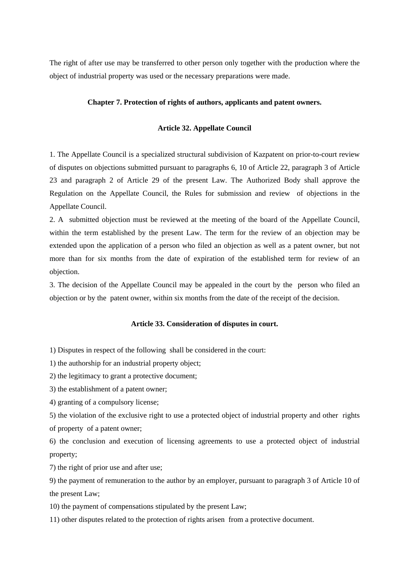The right of after use may be transferred to other person only together with the production where the object of industrial property was used or the necessary preparations were made.

## **Chapter 7. Protection of rights of authors, applicants and patent owners.**

## **Article 32. Appellate Council**

1. The Appellate Council is a specialized structural subdivision of Kazpatent on prior-to-court review of disputes on objections submitted pursuant to paragraphs 6, 10 of Article 22, paragraph 3 of Article 23 and paragraph 2 of Article 29 of the present Law. The Authorized Body shall approve the Regulation on the Appellate Council, the Rules for submission and review of objections in the Appellate Council.

2. A submitted objection must be reviewed at the meeting of the board of the Appellate Council, within the term established by the present Law. The term for the review of an objection may be extended upon the application of a person who filed an objection as well as a patent owner, but not more than for six months from the date of expiration of the established term for review of an objection.

3. The decision of the Appellate Council may be appealed in the court by the person who filed an objection or by the patent owner, within six months from the date of the receipt of the decision.

#### **Article 33. Consideration of disputes in court.**

1) Disputes in respect of the following shall be considered in the court:

1) the authorship for an industrial property object;

2) the legitimacy to grant a protective document;

3) the establishment of a patent owner;

4) granting of a compulsory license;

5) the violation of the exclusive right to use a protected object of industrial property and other rights of property of a patent owner;

6) the conclusion and execution of licensing agreements to use a protected object of industrial property;

7) the right of prior use and after use;

9) the payment of remuneration to the author by an employer, pursuant to paragraph 3 of Article 10 of the present Law;

10) the payment of compensations stipulated by the present Law;

11) other disputes related to the protection of rights arisen from a protective document.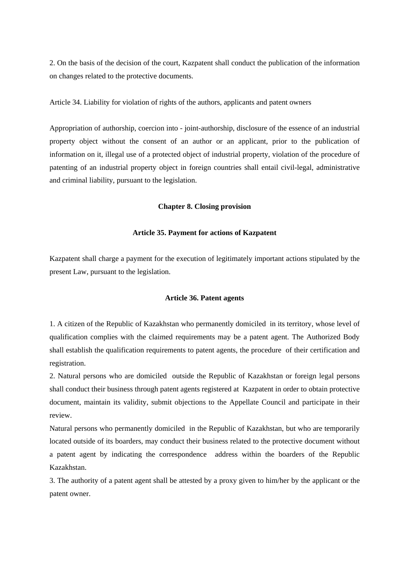2. On the basis of the decision of the court, Kazpatent shall conduct the publication of the information on changes related to the protective documents.

Article 34. Liability for violation of rights of the authors, applicants and patent owners

Appropriation of authorship, coercion into - joint-authorship, disclosure of the essence of an industrial property object without the consent of an author or an applicant, prior to the publication of information on it, illegal use of a protected object of industrial property, violation of the procedure of patenting of an industrial property object in foreign countries shall entail civil-legal, administrative and criminal liability, pursuant to the legislation.

## **Chapter 8. Closing provision**

## **Article 35. Payment for actions of Kazpatent**

Kazpatent shall charge a payment for the execution of legitimately important actions stipulated by the present Law, pursuant to the legislation.

# **Article 36. Patent agents**

1. A citizen of the Republic of Kazakhstan who permanently domiciled in its territory, whose level of qualification complies with the claimed requirements may be a patent agent. The Authorized Body shall establish the qualification requirements to patent agents, the procedure of their certification and registration.

2. Natural persons who are domiciled outside the Republic of Kazakhstan or foreign legal persons shall conduct their business through patent agents registered at Kazpatent in order to obtain protective document, maintain its validity, submit objections to the Appellate Council and participate in their review.

Natural persons who permanently domiciled in the Republic of Kazakhstan, but who are temporarily located outside of its boarders, may conduct their business related to the protective document without a patent agent by indicating the correspondence address within the boarders of the Republic Kazakhstan.

3. The authority of a patent agent shall be attested by a proxy given to him/her by the applicant or the patent owner.